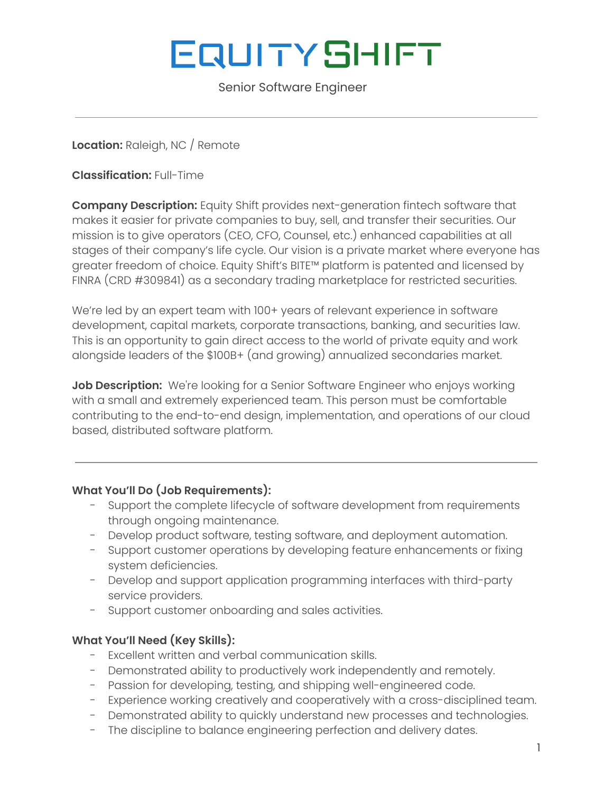# **EQUITYSHIFT**

Senior Software Engineer

## **Location:** Raleigh, NC / Remote

**Classification:** Full-Time

**Company Description:** Equity Shift provides next-generation fintech software that makes it easier for private companies to buy, sell, and transfer their securities. Our mission is to give operators (CEO, CFO, Counsel, etc.) enhanced capabilities at all stages of their company's life cycle. Our vision is a private market where everyone has greater freedom of choice. Equity Shift's BITE™ platform is patented and licensed by FINRA (CRD #309841) as a secondary trading marketplace for restricted securities.

We're led by an expert team with 100+ years of relevant experience in software development, capital markets, corporate transactions, banking, and securities law. This is an opportunity to gain direct access to the world of private equity and work alongside leaders of the \$100B+ (and growing) annualized secondaries market.

**Job Description:** We're looking for a [S](https://100hires.com/senior-software-engineer-job-description.html)enior Software Engineer who enjoys working with a small and extremely experienced team. This person must be comfortable contributing to the end-to-end design, implementation, and operations of our cloud based, distributed software platform.

### **What You'll Do (Job Requirements):**

- Support the complete lifecycle of software development from requirements through ongoing maintenance.
- Develop product software, testing software, and deployment automation.
- Support customer operations by developing feature enhancements or fixing system deficiencies.
- Develop and support application programming interfaces with third-party service providers.
- Support customer onboarding and sales activities.

### **What You'll Need (Key Skills):**

- Excellent written and verbal communication skills.
- Demonstrated ability to productively work independently and remotely.
- Passion for developing, testing, and shipping well-engineered code.
- Experience working creatively and cooperatively with a cross-disciplined team.
- Demonstrated ability to quickly understand new processes and technologies.
- The discipline to balance engineering perfection and delivery dates.